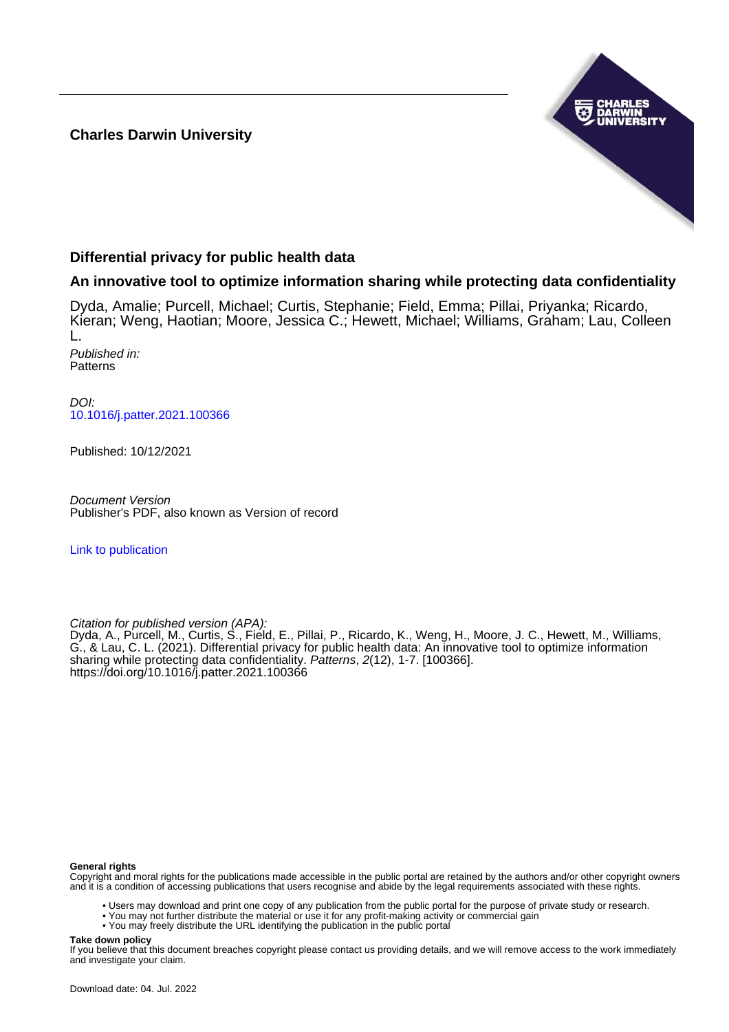### **Charles Darwin University**



### **Differential privacy for public health data**

### **An innovative tool to optimize information sharing while protecting data confidentiality**

Dyda, Amalie; Purcell, Michael; Curtis, Stephanie; Field, Emma; Pillai, Priyanka; Ricardo, Kieran; Weng, Haotian; Moore, Jessica C.; Hewett, Michael; Williams, Graham; Lau, Colleen L. Published in: **Patterns** 

DOI: [10.1016/j.patter.2021.100366](https://doi.org/10.1016/j.patter.2021.100366)

Published: 10/12/2021

Document Version Publisher's PDF, also known as Version of record

[Link to publication](https://researchers.cdu.edu.au/en/publications/f82e113b-64b4-447c-8963-737c97ef11ef)

Citation for published version (APA):

Dyda, A., Purcell, M., Curtis, S., Field, E., Pillai, P., Ricardo, K., Weng, H., Moore, J. C., Hewett, M., Williams, G., & Lau, C. L. (2021). Differential privacy for public health data: An innovative tool to optimize information sharing while protecting data confidentiality. Patterns, 2(12), 1-7. [100366]. <https://doi.org/10.1016/j.patter.2021.100366>

#### **General rights**

Copyright and moral rights for the publications made accessible in the public portal are retained by the authors and/or other copyright owners and it is a condition of accessing publications that users recognise and abide by the legal requirements associated with these rights.

• Users may download and print one copy of any publication from the public portal for the purpose of private study or research.

- You may not further distribute the material or use it for any profit-making activity or commercial gain
- You may freely distribute the URL identifying the publication in the public portal

**Take down policy**

If you believe that this document breaches copyright please contact us providing details, and we will remove access to the work immediately and investigate your claim.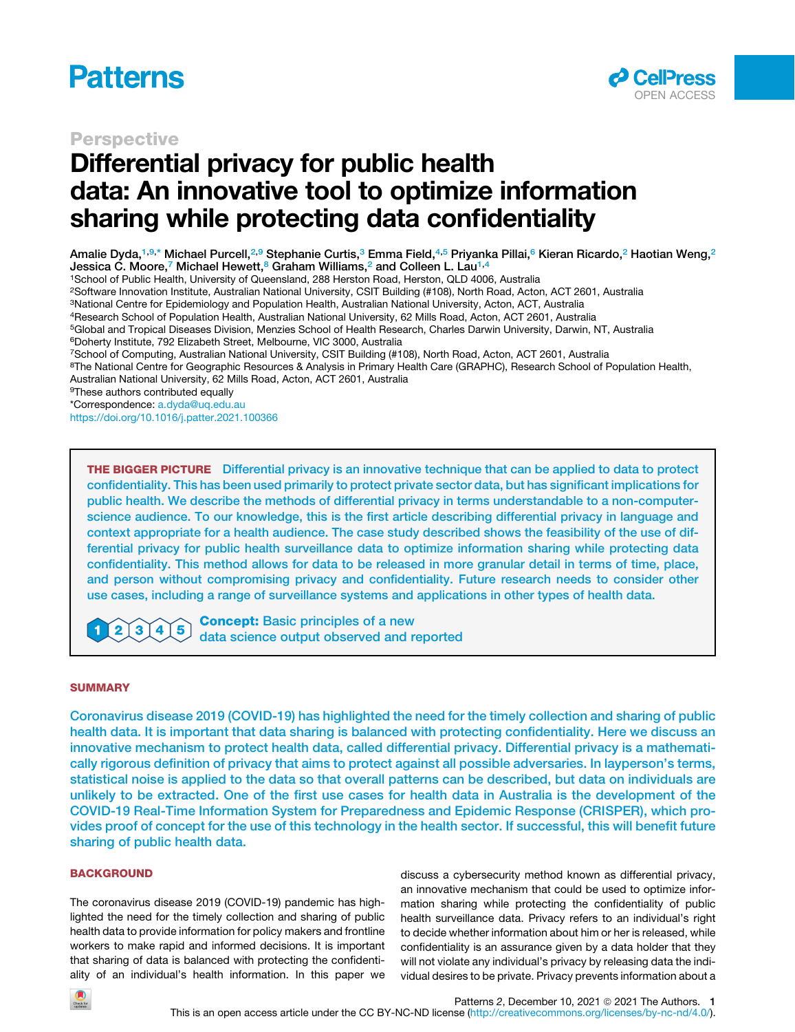





# Differential privacy for public health data: An innovative tool to optimize information sharing while protecting data confidentiality

Amalie Dyda,[1](#page-1-0)[,9,](#page-1-1)[\\*](#page-1-2) Michael Purcell,<sup>[2](#page-1-3),[9](#page-1-1)</sup> Stephanie Curtis,<sup>3</sup> Emma Field,<sup>[4](#page-1-5)[,5](#page-1-6)</sup> Priyanka Pillai,<sup>[6](#page-1-7)</sup> Kieran Ricardo,<sup>2</sup> Haotian Weng,<sup>2</sup> Jessica C. Moore,<sup>[7](#page-1-8)</sup> Michael Hewett,<sup>[8](#page-1-9)</sup> Graham Williams,<sup>[2](#page-1-3)</sup> and Colleen L. Lau<sup>[1](#page-1-0),[4](#page-1-5)</sup>

<span id="page-1-0"></span>1School of Public Health, University of Queensland, 288 Herston Road, Herston, QLD 4006, Australia

<span id="page-1-3"></span>2Software Innovation Institute, Australian National University, CSIT Building (#108), North Road, Acton, ACT 2601, Australia

<span id="page-1-4"></span>3National Centre for Epidemiology and Population Health, Australian National University, Acton, ACT, Australia

<span id="page-1-5"></span>4Research School of Population Health, Australian National University, 62 Mills Road, Acton, ACT 2601, Australia

<span id="page-1-6"></span>5Global and Tropical Diseases Division, Menzies School of Health Research, Charles Darwin University, Darwin, NT, Australia

<span id="page-1-7"></span>6Doherty Institute, 792 Elizabeth Street, Melbourne, VIC 3000, Australia

<span id="page-1-9"></span><span id="page-1-8"></span>7School of Computing, Australian National University, CSIT Building (#108), North Road, Acton, ACT 2601, Australia <sup>8</sup>The National Centre for Geographic Resources & Analysis in Primary Health Care (GRAPHC), Research School of Population Health,

Australian National University, 62 Mills Road, Acton, ACT 2601, Australia

<span id="page-1-1"></span>9These authors contributed equally

<span id="page-1-2"></span>\*Correspondence: [a.dyda@uq.edu.au](mailto:a.dyda@uq.edu.au)

<https://doi.org/10.1016/j.patter.2021.100366>

THE BIGGER PICTURE Differential privacy is an innovative technique that can be applied to data to protect confidentiality. This has been used primarily to protect private sector data, but has significant implications for public health. We describe the methods of differential privacy in terms understandable to a non-computerscience audience. To our knowledge, this is the first article describing differential privacy in language and context appropriate for a health audience. The case study described shows the feasibility of the use of differential privacy for public health surveillance data to optimize information sharing while protecting data confidentiality. This method allows for data to be released in more granular detail in terms of time, place, and person without compromising privacy and confidentiality. Future research needs to consider other use cases, including a range of surveillance systems and applications in other types of health data.

Concept: Basic principles of a new  $\mathbf{2}$ 3 4 5 data science output observed and reported

#### **SUMMARY**

Coronavirus disease 2019 (COVID-19) has highlighted the need for the timely collection and sharing of public health data. It is important that data sharing is balanced with protecting confidentiality. Here we discuss an innovative mechanism to protect health data, called differential privacy. Differential privacy is a mathematically rigorous definition of privacy that aims to protect against all possible adversaries. In layperson's terms, statistical noise is applied to the data so that overall patterns can be described, but data on individuals are unlikely to be extracted. One of the first use cases for health data in Australia is the development of the COVID-19 Real-Time Information System for Preparedness and Epidemic Response (CRISPER), which provides proof of concept for the use of this technology in the health sector. If successful, this will benefit future sharing of public health data.

#### **BACKGROUND**

The coronavirus disease 2019 (COVID-19) pandemic has highlighted the need for the timely collection and sharing of public health data to provide information for policy makers and frontline workers to make rapid and informed decisions. It is important that sharing of data is balanced with protecting the confidentiality of an individual's health information. In this paper we discuss a cybersecurity method known as differential privacy, an innovative mechanism that could be used to optimize information sharing while protecting the confidentiality of public health surveillance data. Privacy refers to an individual's right to decide whether information about him or her is released, while confidentiality is an assurance given by a data holder that they will not violate any individual's privacy by releasing data the individual desires to be private. Privacy prevents information about a

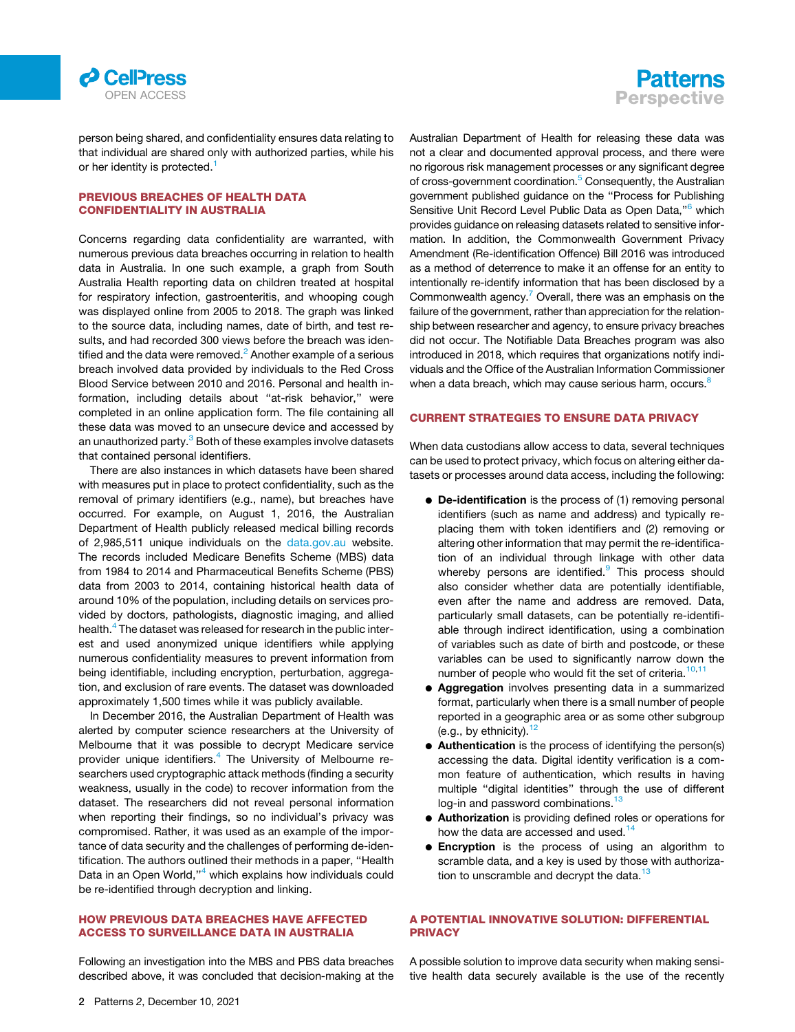



person being shared, and confidentiality ensures data relating to that individual are shared only with authorized parties, while his or her identity is protected.<sup>[1](#page-6-0)</sup>

#### PREVIOUS BREACHES OF HEALTH DATA CONFIDENTIALITY IN AUSTRALIA

Concerns regarding data confidentiality are warranted, with numerous previous data breaches occurring in relation to health data in Australia. In one such example, a graph from South Australia Health reporting data on children treated at hospital for respiratory infection, gastroenteritis, and whooping cough was displayed online from 2005 to 2018. The graph was linked to the source data, including names, date of birth, and test results, and had recorded 300 views before the breach was iden-tified and the data were removed.<sup>[2](#page-6-1)</sup> Another example of a serious breach involved data provided by individuals to the Red Cross Blood Service between 2010 and 2016. Personal and health information, including details about ''at-risk behavior,'' were completed in an online application form. The file containing all these data was moved to an unsecure device and accessed by an unauthorized party.<sup>3</sup> Both of these examples involve datasets that contained personal identifiers.

There are also instances in which datasets have been shared with measures put in place to protect confidentiality, such as the removal of primary identifiers (e.g., name), but breaches have occurred. For example, on August 1, 2016, the Australian Department of Health publicly released medical billing records of 2,985,511 unique individuals on the [data.gov.au](https://data.gov.au) website. The records included Medicare Benefits Scheme (MBS) data from 1984 to 2014 and Pharmaceutical Benefits Scheme (PBS) data from 2003 to 2014, containing historical health data of around 10% of the population, including details on services provided by doctors, pathologists, diagnostic imaging, and allied health.<sup>[4](#page-6-3)</sup> The dataset was released for research in the public interest and used anonymized unique identifiers while applying numerous confidentiality measures to prevent information from being identifiable, including encryption, perturbation, aggregation, and exclusion of rare events. The dataset was downloaded approximately 1,500 times while it was publicly available.

In December 2016, the Australian Department of Health was alerted by computer science researchers at the University of Melbourne that it was possible to decrypt Medicare service provider unique identifiers.<sup>[4](#page-6-3)</sup> The University of Melbourne researchers used cryptographic attack methods (finding a security weakness, usually in the code) to recover information from the dataset. The researchers did not reveal personal information when reporting their findings, so no individual's privacy was compromised. Rather, it was used as an example of the importance of data security and the challenges of performing de-identification. The authors outlined their methods in a paper, ''Health Data in an Open World,"<sup>[4](#page-6-3)</sup> which explains how individuals could be re-identified through decryption and linking.

#### HOW PREVIOUS DATA BREACHES HAVE AFFECTED ACCESS TO SURVEILLANCE DATA IN AUSTRALIA

Following an investigation into the MBS and PBS data breaches described above, it was concluded that decision-making at the Australian Department of Health for releasing these data was not a clear and documented approval process, and there were no rigorous risk management processes or any significant degree of cross-government coordination.<sup>[5](#page-6-4)</sup> Consequently, the Australian government published guidance on the ''Process for Publishing Sensitive Unit Record Level Public Data as Open Data,"<sup>[6](#page-6-5)</sup> which provides guidance on releasing datasets related to sensitive information. In addition, the Commonwealth Government Privacy Amendment (Re-identification Offence) Bill 2016 was introduced as a method of deterrence to make it an offense for an entity to intentionally re-identify information that has been disclosed by a Commonwealth agency.<sup>7</sup> Overall, there was an emphasis on the failure of the government, rather than appreciation for the relationship between researcher and agency, to ensure privacy breaches did not occur. The Notifiable Data Breaches program was also introduced in 2018, which requires that organizations notify individuals and the Office of the Australian Information Commissioner when a data breach, which may cause serious harm, occurs.<sup>8</sup>

#### CURRENT STRATEGIES TO ENSURE DATA PRIVACY

When data custodians allow access to data, several techniques can be used to protect privacy, which focus on altering either datasets or processes around data access, including the following:

- $\bullet$  De-identification is the process of (1) removing personal identifiers (such as name and address) and typically replacing them with token identifiers and (2) removing or altering other information that may permit the re-identification of an individual through linkage with other data whereby persons are identified.<sup>[9](#page-6-8)</sup> This process should also consider whether data are potentially identifiable, even after the name and address are removed. Data, particularly small datasets, can be potentially re-identifiable through indirect identification, using a combination of variables such as date of birth and postcode, or these variables can be used to significantly narrow down the number of people who would fit the set of criteria.<sup>[10,](#page-6-9)[11](#page-6-10)</sup>
- **Aggregation** involves presenting data in a summarized format, particularly when there is a small number of people reported in a geographic area or as some other subgroup (e.g., by ethnicity).  $12$
- Authentication is the process of identifying the person(s) accessing the data. Digital identity verification is a common feature of authentication, which results in having multiple ''digital identities'' through the use of different log-in and password combinations.<sup>[13](#page-6-12)</sup>
- **Authorization** is providing defined roles or operations for how the data are accessed and used. $14$
- **Encryption** is the process of using an algorithm to scramble data, and a key is used by those with authoriza-tion to unscramble and decrypt the data.<sup>[13](#page-6-12)</sup>

#### A POTENTIAL INNOVATIVE SOLUTION: DIFFERENTIAL PRIVACY

A possible solution to improve data security when making sensitive health data securely available is the use of the recently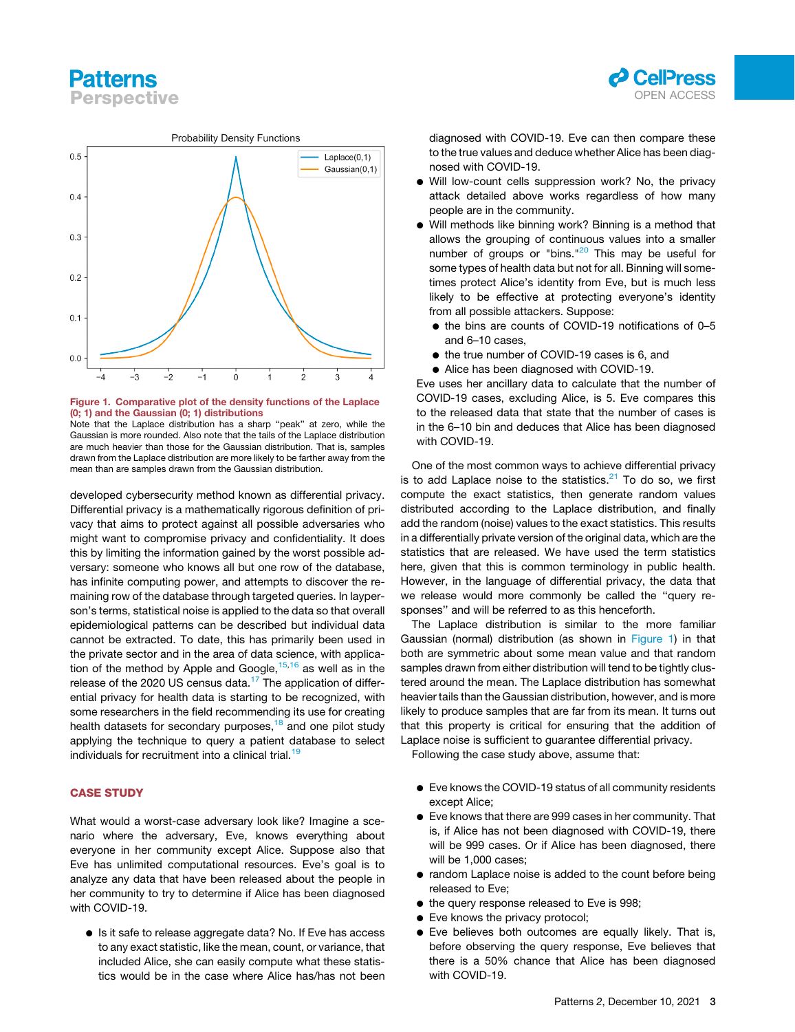## **Patterns Perspective**



<span id="page-3-0"></span>

#### Figure 1. Comparative plot of the density functions of the Laplace (0; 1) and the Gaussian (0; 1) distributions

Note that the Laplace distribution has a sharp ''peak'' at zero, while the Gaussian is more rounded. Also note that the tails of the Laplace distribution are much heavier than those for the Gaussian distribution. That is, samples drawn from the Laplace distribution are more likely to be farther away from the mean than are samples drawn from the Gaussian distribution.

developed cybersecurity method known as differential privacy. Differential privacy is a mathematically rigorous definition of privacy that aims to protect against all possible adversaries who might want to compromise privacy and confidentiality. It does this by limiting the information gained by the worst possible adversary: someone who knows all but one row of the database, has infinite computing power, and attempts to discover the remaining row of the database through targeted queries. In layperson's terms, statistical noise is applied to the data so that overall epidemiological patterns can be described but individual data cannot be extracted. To date, this has primarily been used in the private sector and in the area of data science, with application of the method by Apple and Google,  $15,16$  $15,16$  $15,16$  as well as in the release of the 2020 US census data.<sup>[17](#page-6-16)</sup> The application of differential privacy for health data is starting to be recognized, with some researchers in the field recommending its use for creating health datasets for secondary purposes,<sup>[18](#page-6-17)</sup> and one pilot study applying the technique to query a patient database to select individuals for recruitment into a clinical trial.<sup>[19](#page-6-18)</sup>

#### CASE STUDY

What would a worst-case adversary look like? Imagine a scenario where the adversary, Eve, knows everything about everyone in her community except Alice. Suppose also that Eve has unlimited computational resources. Eve's goal is to analyze any data that have been released about the people in her community to try to determine if Alice has been diagnosed with COVID-19.

● Is it safe to release aggregate data? No. If Eve has access to any exact statistic, like the mean, count, or variance, that included Alice, she can easily compute what these statistics would be in the case where Alice has/has not been diagnosed with COVID-19. Eve can then compare these to the true values and deduce whether Alice has been diagnosed with COVID-19.

- Will low-count cells suppression work? No, the privacy attack detailed above works regardless of how many people are in the community.
- Will methods like binning work? Binning is a method that allows the grouping of continuous values into a smaller number of groups or "bins."<sup>[20](#page-6-19)</sup> This may be useful for some types of health data but not for all. Binning will sometimes protect Alice's identity from Eve, but is much less likely to be effective at protecting everyone's identity from all possible attackers. Suppose:
	- the bins are counts of COVID-19 notifications of 0-5 and 6–10 cases,
	- the true number of COVID-19 cases is 6, and
	- $\bullet$  Alice has been diagnosed with COVID-19.

Eve uses her ancillary data to calculate that the number of COVID-19 cases, excluding Alice, is 5. Eve compares this to the released data that state that the number of cases is in the 6–10 bin and deduces that Alice has been diagnosed with COVID-19.

One of the most common ways to achieve differential privacy is to add Laplace noise to the statistics. $21$  To do so, we first compute the exact statistics, then generate random values distributed according to the Laplace distribution, and finally add the random (noise) values to the exact statistics. This results in a differentially private version of the original data, which are the statistics that are released. We have used the term statistics here, given that this is common terminology in public health. However, in the language of differential privacy, the data that we release would more commonly be called the ''query responses'' and will be referred to as this henceforth.

The Laplace distribution is similar to the more familiar Gaussian (normal) distribution (as shown in [Figure 1\)](#page-3-0) in that both are symmetric about some mean value and that random samples drawn from either distribution will tend to be tightly clustered around the mean. The Laplace distribution has somewhat heavier tails than the Gaussian distribution, however, and is more likely to produce samples that are far from its mean. It turns out that this property is critical for ensuring that the addition of Laplace noise is sufficient to guarantee differential privacy.

Following the case study above, assume that:

- d Eve knows the COVID-19 status of all community residents except Alice;
- d Eve knows that there are 999 cases in her community. That is, if Alice has not been diagnosed with COVID-19, there will be 999 cases. Or if Alice has been diagnosed, there will be 1,000 cases;
- random Laplace noise is added to the count before being released to Eve;
- $\bullet$  the query response released to Eve is 998;
- Eve knows the privacy protocol;
- d Eve believes both outcomes are equally likely. That is, before observing the query response, Eve believes that there is a 50% chance that Alice has been diagnosed with COVID-19.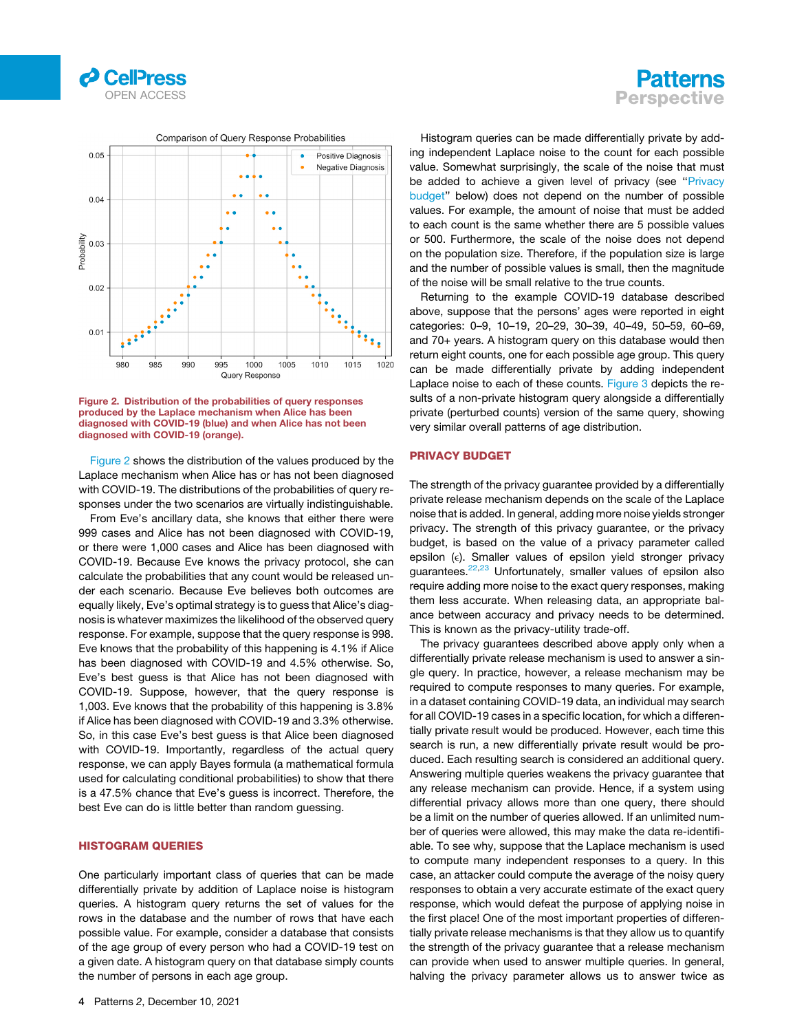

<span id="page-4-0"></span>

Figure 2. Distribution of the probabilities of query responses produced by the Laplace mechanism when Alice has been diagnosed with COVID-19 (blue) and when Alice has not been diagnosed with COVID-19 (orange).

<span id="page-4-1"></span>[Figure 2](#page-4-0) shows the distribution of the values produced by the Laplace mechanism when Alice has or has not been diagnosed with COVID-19. The distributions of the probabilities of query responses under the two scenarios are virtually indistinguishable.

From Eve's ancillary data, she knows that either there were 999 cases and Alice has not been diagnosed with COVID-19, or there were 1,000 cases and Alice has been diagnosed with COVID-19. Because Eve knows the privacy protocol, she can calculate the probabilities that any count would be released under each scenario. Because Eve believes both outcomes are equally likely, Eve's optimal strategy is to guess that Alice's diagnosis is whatever maximizes the likelihood of the observed query response. For example, suppose that the query response is 998. Eve knows that the probability of this happening is 4.1% if Alice has been diagnosed with COVID-19 and 4.5% otherwise. So, Eve's best guess is that Alice has not been diagnosed with COVID-19. Suppose, however, that the query response is 1,003. Eve knows that the probability of this happening is 3.8% if Alice has been diagnosed with COVID-19 and 3.3% otherwise. So, in this case Eve's best guess is that Alice been diagnosed with COVID-19. Importantly, regardless of the actual query response, we can apply Bayes formula (a mathematical formula used for calculating conditional probabilities) to show that there is a 47.5% chance that Eve's guess is incorrect. Therefore, the best Eve can do is little better than random guessing.

#### HISTOGRAM QUERIES

One particularly important class of queries that can be made differentially private by addition of Laplace noise is histogram queries. A histogram query returns the set of values for the rows in the database and the number of rows that have each possible value. For example, consider a database that consists of the age group of every person who had a COVID-19 test on a given date. A histogram query on that database simply counts the number of persons in each age group.



Histogram queries can be made differentially private by adding independent Laplace noise to the count for each possible value. Somewhat surprisingly, the scale of the noise that must be added to achieve a given level of privacy (see '['Privacy](#page-4-1) [budget'](#page-4-1)' below) does not depend on the number of possible values. For example, the amount of noise that must be added to each count is the same whether there are 5 possible values or 500. Furthermore, the scale of the noise does not depend on the population size. Therefore, if the population size is large and the number of possible values is small, then the magnitude of the noise will be small relative to the true counts.

Returning to the example COVID-19 database described above, suppose that the persons' ages were reported in eight categories: 0–9, 10–19, 20–29, 30–39, 40–49, 50–59, 60–69, and 70+ years. A histogram query on this database would then return eight counts, one for each possible age group. This query can be made differentially private by adding independent Laplace noise to each of these counts. [Figure 3](#page-5-0) depicts the results of a non-private histogram query alongside a differentially private (perturbed counts) version of the same query, showing very similar overall patterns of age distribution.

#### PRIVACY BUDGET

The strength of the privacy guarantee provided by a differentially private release mechanism depends on the scale of the Laplace noise that is added. In general, adding more noise yields stronger privacy. The strength of this privacy guarantee, or the privacy budget, is based on the value of a privacy parameter called epsilon (e). Smaller values of epsilon yield stronger privacy guarantees.<sup>[22](#page-7-0)[,23](#page-7-1)</sup> Unfortunately, smaller values of epsilon also require adding more noise to the exact query responses, making them less accurate. When releasing data, an appropriate balance between accuracy and privacy needs to be determined. This is known as the privacy-utility trade-off.

The privacy guarantees described above apply only when a differentially private release mechanism is used to answer a single query. In practice, however, a release mechanism may be required to compute responses to many queries. For example, in a dataset containing COVID-19 data, an individual may search for all COVID-19 cases in a specific location, for which a differentially private result would be produced. However, each time this search is run, a new differentially private result would be produced. Each resulting search is considered an additional query. Answering multiple queries weakens the privacy guarantee that any release mechanism can provide. Hence, if a system using differential privacy allows more than one query, there should be a limit on the number of queries allowed. If an unlimited number of queries were allowed, this may make the data re-identifiable. To see why, suppose that the Laplace mechanism is used to compute many independent responses to a query. In this case, an attacker could compute the average of the noisy query responses to obtain a very accurate estimate of the exact query response, which would defeat the purpose of applying noise in the first place! One of the most important properties of differentially private release mechanisms is that they allow us to quantify the strength of the privacy guarantee that a release mechanism can provide when used to answer multiple queries. In general, halving the privacy parameter allows us to answer twice as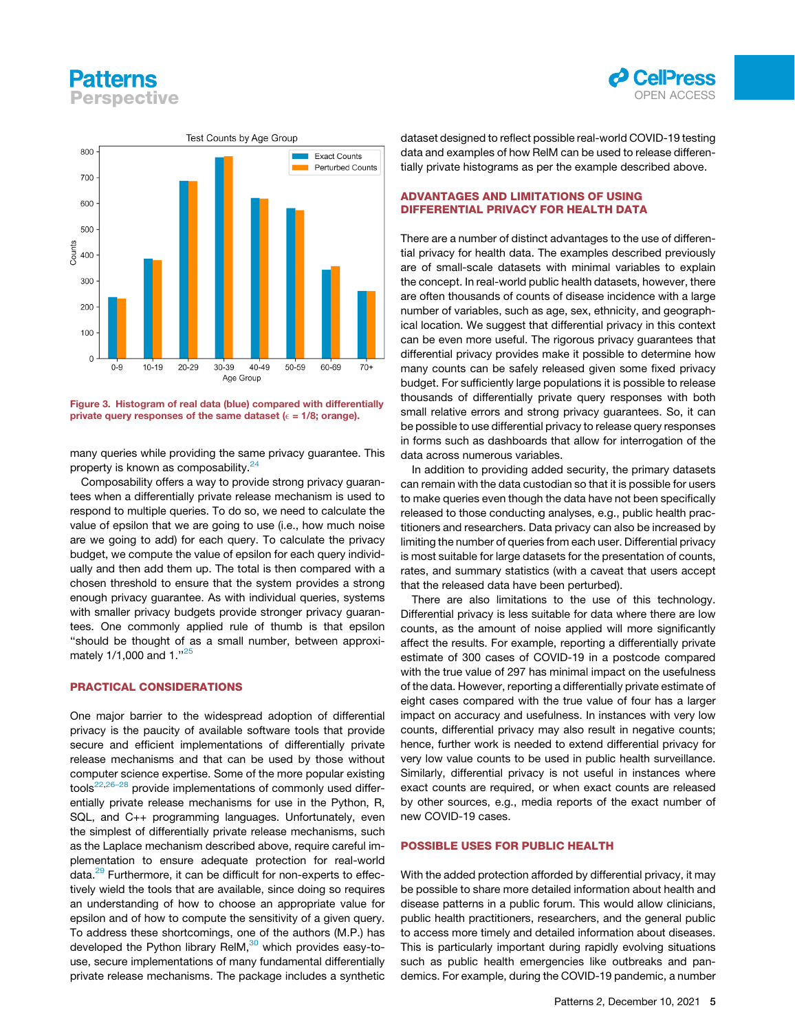# **Patterns Perspective**



<span id="page-5-0"></span>

Figure 3. Histogram of real data (blue) compared with differentially private query responses of the same dataset ( $\epsilon$  = 1/8; orange).

many queries while providing the same privacy guarantee. This property is known as composability.<sup>[24](#page-7-2)</sup>

Composability offers a way to provide strong privacy guarantees when a differentially private release mechanism is used to respond to multiple queries. To do so, we need to calculate the value of epsilon that we are going to use (i.e., how much noise are we going to add) for each query. To calculate the privacy budget, we compute the value of epsilon for each query individually and then add them up. The total is then compared with a chosen threshold to ensure that the system provides a strong enough privacy guarantee. As with individual queries, systems with smaller privacy budgets provide stronger privacy guarantees. One commonly applied rule of thumb is that epsilon ''should be thought of as a small number, between approxi-mately 1/1,000 and 1.<sup>1[25](#page-7-3)</sup>

#### PRACTICAL CONSIDERATIONS

One major barrier to the widespread adoption of differential privacy is the paucity of available software tools that provide secure and efficient implementations of differentially private release mechanisms and that can be used by those without computer science expertise. Some of the more popular existing tools $22,26-28$  $22,26-28$  provide implementations of commonly used differentially private release mechanisms for use in the Python, R, SQL, and C++ programming languages. Unfortunately, even the simplest of differentially private release mechanisms, such as the Laplace mechanism described above, require careful implementation to ensure adequate protection for real-world data.[29](#page-7-5) Furthermore, it can be difficult for non-experts to effectively wield the tools that are available, since doing so requires an understanding of how to choose an appropriate value for epsilon and of how to compute the sensitivity of a given query. To address these shortcomings, one of the authors (M.P.) has developed the Python library ReIM, $30$  which provides easy-touse, secure implementations of many fundamental differentially private release mechanisms. The package includes a synthetic dataset designed to reflect possible real-world COVID-19 testing data and examples of how RelM can be used to release differentially private histograms as per the example described above.

#### ADVANTAGES AND LIMITATIONS OF USING DIFFERENTIAL PRIVACY FOR HEALTH DATA

There are a number of distinct advantages to the use of differential privacy for health data. The examples described previously are of small-scale datasets with minimal variables to explain the concept. In real-world public health datasets, however, there are often thousands of counts of disease incidence with a large number of variables, such as age, sex, ethnicity, and geographical location. We suggest that differential privacy in this context can be even more useful. The rigorous privacy guarantees that differential privacy provides make it possible to determine how many counts can be safely released given some fixed privacy budget. For sufficiently large populations it is possible to release thousands of differentially private query responses with both small relative errors and strong privacy guarantees. So, it can be possible to use differential privacy to release query responses in forms such as dashboards that allow for interrogation of the data across numerous variables.

In addition to providing added security, the primary datasets can remain with the data custodian so that it is possible for users to make queries even though the data have not been specifically released to those conducting analyses, e.g., public health practitioners and researchers. Data privacy can also be increased by limiting the number of queries from each user. Differential privacy is most suitable for large datasets for the presentation of counts, rates, and summary statistics (with a caveat that users accept that the released data have been perturbed).

There are also limitations to the use of this technology. Differential privacy is less suitable for data where there are low counts, as the amount of noise applied will more significantly affect the results. For example, reporting a differentially private estimate of 300 cases of COVID-19 in a postcode compared with the true value of 297 has minimal impact on the usefulness of the data. However, reporting a differentially private estimate of eight cases compared with the true value of four has a larger impact on accuracy and usefulness. In instances with very low counts, differential privacy may also result in negative counts; hence, further work is needed to extend differential privacy for very low value counts to be used in public health surveillance. Similarly, differential privacy is not useful in instances where exact counts are required, or when exact counts are released by other sources, e.g., media reports of the exact number of new COVID-19 cases.

#### POSSIBLE USES FOR PUBLIC HEALTH

With the added protection afforded by differential privacy, it may be possible to share more detailed information about health and disease patterns in a public forum. This would allow clinicians, public health practitioners, researchers, and the general public to access more timely and detailed information about diseases. This is particularly important during rapidly evolving situations such as public health emergencies like outbreaks and pandemics. For example, during the COVID-19 pandemic, a number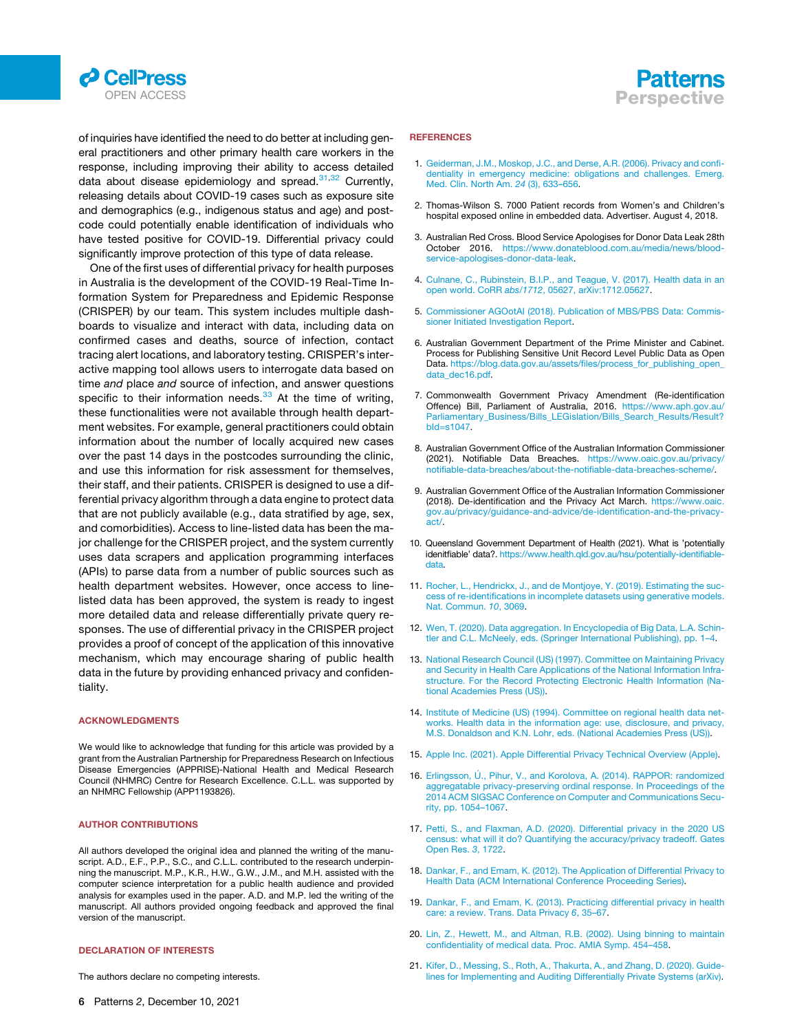



of inquiries have identified the need to do better at including general practitioners and other primary health care workers in the response, including improving their ability to access detailed data about disease epidemiology and spread.  $31,32$  $31,32$  Currently, releasing details about COVID-19 cases such as exposure site and demographics (e.g., indigenous status and age) and postcode could potentially enable identification of individuals who have tested positive for COVID-19. Differential privacy could significantly improve protection of this type of data release.

One of the first uses of differential privacy for health purposes in Australia is the development of the COVID-19 Real-Time Information System for Preparedness and Epidemic Response (CRISPER) by our team. This system includes multiple dashboards to visualize and interact with data, including data on confirmed cases and deaths, source of infection, contact tracing alert locations, and laboratory testing. CRISPER's interactive mapping tool allows users to interrogate data based on time *and* place *and* source of infection, and answer questions specific to their information needs. $33$  At the time of writing, these functionalities were not available through health department websites. For example, general practitioners could obtain information about the number of locally acquired new cases over the past 14 days in the postcodes surrounding the clinic, and use this information for risk assessment for themselves, their staff, and their patients. CRISPER is designed to use a differential privacy algorithm through a data engine to protect data that are not publicly available (e.g., data stratified by age, sex, and comorbidities). Access to line-listed data has been the major challenge for the CRISPER project, and the system currently uses data scrapers and application programming interfaces (APIs) to parse data from a number of public sources such as health department websites. However, once access to linelisted data has been approved, the system is ready to ingest more detailed data and release differentially private query responses. The use of differential privacy in the CRISPER project provides a proof of concept of the application of this innovative mechanism, which may encourage sharing of public health data in the future by providing enhanced privacy and confidentiality.

#### ACKNOWLEDGMENTS

We would like to acknowledge that funding for this article was provided by a grant from the Australian Partnership for Preparedness Research on Infectious Disease Emergencies (APPRISE)-National Health and Medical Research Council (NHMRC) Centre for Research Excellence. C.L.L. was supported by an NHMRC Fellowship (APP1193826).

#### AUTHOR CONTRIBUTIONS

All authors developed the original idea and planned the writing of the manuscript. A.D., E.F., P.P., S.C., and C.L.L. contributed to the research underpinning the manuscript. M.P., K.R., H.W., G.W., J.M., and M.H. assisted with the computer science interpretation for a public health audience and provided analysis for examples used in the paper. A.D. and M.P. led the writing of the manuscript. All authors provided ongoing feedback and approved the final version of the manuscript.

#### DECLARATION OF INTERESTS

The authors declare no competing interests.

#### **REFERENCES**

- <span id="page-6-0"></span>1. [Geiderman, J.M., Moskop, J.C., and Derse, A.R. \(2006\). Privacy and confi](http://refhub.elsevier.com/S2666-3899(21)00228-2/sref1)[dentiality in emergency medicine: obligations and challenges. Emerg.](http://refhub.elsevier.com/S2666-3899(21)00228-2/sref1) [Med. Clin. North Am.](http://refhub.elsevier.com/S2666-3899(21)00228-2/sref1) *24* (3), 633–656.
- <span id="page-6-1"></span>2. Thomas-Wilson S. 7000 Patient records from Women's and Children's hospital exposed online in embedded data. Advertiser. August 4, 2018.
- <span id="page-6-2"></span>3. Australian Red Cross. Blood Service Apologises for Donor Data Leak 28th October 2016. [https://www.donateblood.com.au/media/news/blood](https://www.donateblood.com.au/media/news/blood-service-apologises-donor-data-leak)[service-apologises-donor-data-leak](https://www.donateblood.com.au/media/news/blood-service-apologises-donor-data-leak).
- <span id="page-6-3"></span>4. [Culnane, C., Rubinstein, B.I.P., and Teague, V. \(2017\). Health data in an](http://refhub.elsevier.com/S2666-3899(21)00228-2/sref4) open world. CoRR *abs/1712*[, 05627, arXiv:1712.05627](http://refhub.elsevier.com/S2666-3899(21)00228-2/sref4).
- <span id="page-6-4"></span>5. [Commissioner AGOotAI \(2018\). Publication of MBS/PBS Data: Commis](http://refhub.elsevier.com/S2666-3899(21)00228-2/sref5)[sioner Initiated Investigation Report](http://refhub.elsevier.com/S2666-3899(21)00228-2/sref5).
- <span id="page-6-5"></span>6. Australian Government Department of the Prime Minister and Cabinet. Process for Publishing Sensitive Unit Record Level Public Data as Open Data. [https://blog.data.gov.au/assets/files/process\\_for\\_publishing\\_open\\_](https://blog.data.gov.au/assets/files/process_for_publishing_open_data_dec16.pdf) [data\\_dec16.pdf](https://blog.data.gov.au/assets/files/process_for_publishing_open_data_dec16.pdf).
- <span id="page-6-6"></span>7. Commonwealth Government Privacy Amendment (Re-identification Offence) Bill, Parliament of Australia, 2016. [https://www.aph.gov.au/](https://www.aph.gov.au/Parliamentary_Business/Bills_LEGislation/Bills_Search_Results/Result?bId=s1047) [Parliamentary\\_Business/Bills\\_LEGislation/Bills\\_Search\\_Results/Result?](https://www.aph.gov.au/Parliamentary_Business/Bills_LEGislation/Bills_Search_Results/Result?bId=s1047) [bId=s1047.](https://www.aph.gov.au/Parliamentary_Business/Bills_LEGislation/Bills_Search_Results/Result?bId=s1047)
- <span id="page-6-7"></span>8. Australian Government Office of the Australian Information Commissioner (2021). Notifiable Data Breaches. [https://www.oaic.gov.au/privacy/](https://www.oaic.gov.au/privacy/notifiable-data-breaches/about-the-notifiable-data-breaches-scheme/) [notifiable-data-breaches/about-the-notifiable-data-breaches-scheme/](https://www.oaic.gov.au/privacy/notifiable-data-breaches/about-the-notifiable-data-breaches-scheme/).
- <span id="page-6-8"></span>9. Australian Government Office of the Australian Information Commissioner (2018). De-identification and the Privacy Act March. [https://www.oaic.](https://www.oaic.gov.au/privacy/guidance-and-advice/de-identification-and-the-privacy-act/) [gov.au/privacy/guidance-and-advice/de-identification-and-the-privacy](https://www.oaic.gov.au/privacy/guidance-and-advice/de-identification-and-the-privacy-act/)[act/.](https://www.oaic.gov.au/privacy/guidance-and-advice/de-identification-and-the-privacy-act/)
- <span id="page-6-9"></span>10. Queensland Government Department of Health (2021). What is 'potentially idenitfiable' data?. [https://www.health.qld.gov.au/hsu/potentially-identifiable](https://www.health.qld.gov.au/hsu/potentially-identifiable-data)[data](https://www.health.qld.gov.au/hsu/potentially-identifiable-data).
- <span id="page-6-10"></span>11. [Rocher, L., Hendrickx, J., and de Montjoye, Y. \(2019\). Estimating the suc](http://refhub.elsevier.com/S2666-3899(21)00228-2/sref11)[cess of re-identifications in incomplete datasets using generative models.](http://refhub.elsevier.com/S2666-3899(21)00228-2/sref11) [Nat. Commun.](http://refhub.elsevier.com/S2666-3899(21)00228-2/sref11) *10*, 3069.
- <span id="page-6-12"></span><span id="page-6-11"></span>12. [Wen, T. \(2020\). Data aggregation. In Encyclopedia of Big Data, L.A. Schin](http://refhub.elsevier.com/S2666-3899(21)00228-2/sref12)[tler and C.L. McNeely, eds. \(Springer International Publishing\), pp. 1–4.](http://refhub.elsevier.com/S2666-3899(21)00228-2/sref12)
- 13. [National Research Council \(US\) \(1997\). Committee on Maintaining Privacy](http://refhub.elsevier.com/S2666-3899(21)00228-2/sref13) [and Security in Health Care Applications of the National Information Infra](http://refhub.elsevier.com/S2666-3899(21)00228-2/sref13)[structure. For the Record Protecting Electronic Health Information \(Na](http://refhub.elsevier.com/S2666-3899(21)00228-2/sref13)[tional Academies Press \(US\)\).](http://refhub.elsevier.com/S2666-3899(21)00228-2/sref13)
- <span id="page-6-14"></span><span id="page-6-13"></span>14. [Institute of Medicine \(US\) \(1994\). Committee on regional health data net](http://refhub.elsevier.com/S2666-3899(21)00228-2/sref14)[works. Health data in the information age: use, disclosure, and privacy,](http://refhub.elsevier.com/S2666-3899(21)00228-2/sref14) [M.S. Donaldson and K.N. Lohr, eds. \(National Academies Press \(US\)\).](http://refhub.elsevier.com/S2666-3899(21)00228-2/sref14)
- <span id="page-6-15"></span>15. [Apple Inc. \(2021\). Apple Differential Privacy Technical Overview \(Apple\).](http://refhub.elsevier.com/S2666-3899(21)00228-2/sref15)
- 16. Erlingsson, Ú[., Pihur, V., and Korolova, A. \(2014\). RAPPOR: randomized](http://refhub.elsevier.com/S2666-3899(21)00228-2/sref16) [aggregatable privacy-preserving ordinal response. In Proceedings of the](http://refhub.elsevier.com/S2666-3899(21)00228-2/sref16) [2014 ACM SIGSAC Conference on Computer and Communications Secu](http://refhub.elsevier.com/S2666-3899(21)00228-2/sref16)[rity, pp. 1054–1067](http://refhub.elsevier.com/S2666-3899(21)00228-2/sref16).
- <span id="page-6-17"></span><span id="page-6-16"></span>17. [Petti, S., and Flaxman, A.D. \(2020\). Differential privacy in the 2020 US](http://refhub.elsevier.com/S2666-3899(21)00228-2/sref17) [census: what will it do? Quantifying the accuracy/privacy tradeoff. Gates](http://refhub.elsevier.com/S2666-3899(21)00228-2/sref17) [Open Res.](http://refhub.elsevier.com/S2666-3899(21)00228-2/sref17) *3*, 1722.
- <span id="page-6-18"></span>18. [Dankar, F., and Emam, K. \(2012\). The Application of Differential Privacy to](http://refhub.elsevier.com/S2666-3899(21)00228-2/sref18) [Health Data \(ACM International Conference Proceeding Series\)](http://refhub.elsevier.com/S2666-3899(21)00228-2/sref18).
- <span id="page-6-19"></span>19. [Dankar, F., and Emam, K. \(2013\). Practicing differential privacy in health](http://refhub.elsevier.com/S2666-3899(21)00228-2/sref19) [care: a review. Trans. Data Privacy](http://refhub.elsevier.com/S2666-3899(21)00228-2/sref19) *6*, 35–67.
- <span id="page-6-20"></span>20. [Lin, Z., Hewett, M., and Altman, R.B. \(2002\). Using binning to maintain](http://refhub.elsevier.com/S2666-3899(21)00228-2/sref20) [confidentiality of medical data. Proc. AMIA Symp. 454–458](http://refhub.elsevier.com/S2666-3899(21)00228-2/sref20).
- 21. [Kifer, D., Messing, S., Roth, A., Thakurta, A., and Zhang, D. \(2020\). Guide](http://refhub.elsevier.com/S2666-3899(21)00228-2/sref21)[lines for Implementing and Auditing Differentially Private Systems \(arXiv\)](http://refhub.elsevier.com/S2666-3899(21)00228-2/sref21).